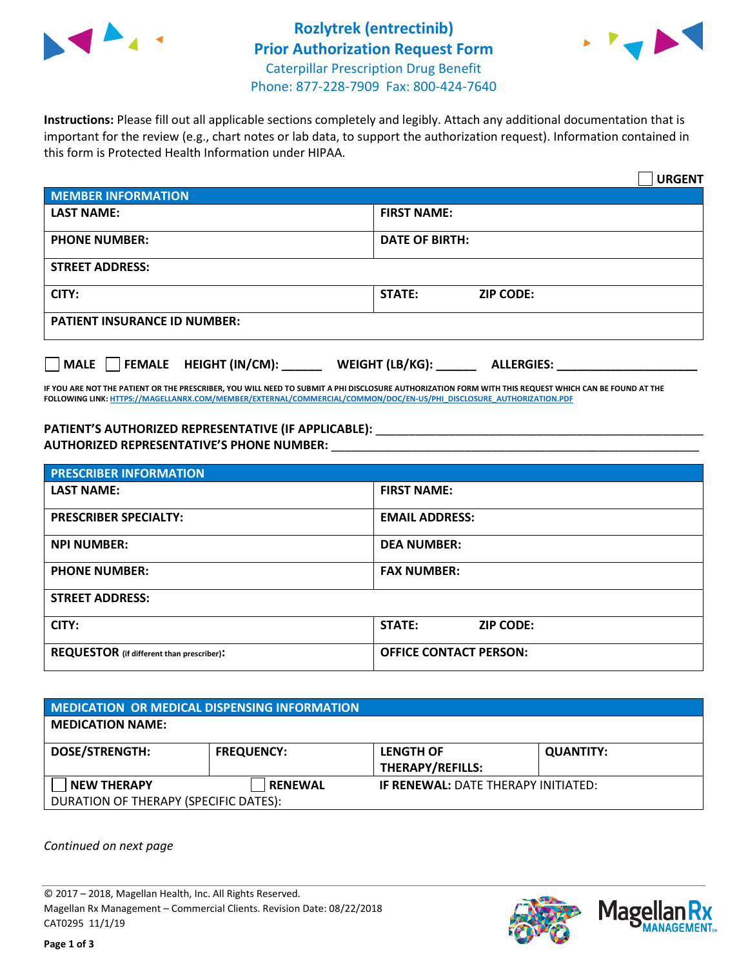



**Instructions:** Please fill out all applicable sections completely and legibly. Attach any additional documentation that is important for the review (e.g., chart notes or lab data, to support the authorization request). Information contained in this form is Protected Health Information under HIPAA.

|                                       |                                      | <b>URGENT</b> |
|---------------------------------------|--------------------------------------|---------------|
| <b>MEMBER INFORMATION</b>             |                                      |               |
| <b>LAST NAME:</b>                     | <b>FIRST NAME:</b>                   |               |
| <b>PHONE NUMBER:</b>                  | <b>DATE OF BIRTH:</b>                |               |
| <b>STREET ADDRESS:</b>                |                                      |               |
| CITY:                                 | <b>ZIP CODE:</b><br>STATE:           |               |
| <b>PATIENT INSURANCE ID NUMBER:</b>   |                                      |               |
| FEMALE HEIGHT (IN/CM):<br><b>MALE</b> | WEIGHT (LB/KG):<br><b>ALLERGIES:</b> |               |

**IF YOU ARE NOT THE PATIENT OR THE PRESCRIBER, YOU WILL NEED TO SUBMIT A PHI DISCLOSURE AUTHORIZATION FORM WITH THIS REQUEST WHICH CAN BE FOUND AT THE FOLLOWING LINK[: HTTPS://MAGELLANRX.COM/MEMBER/EXTERNAL/COMMERCIAL/COMMON/DOC/EN-US/PHI\\_DISCLOSURE\\_AUTHORIZATION.PDF](https://magellanrx.com/member/external/commercial/common/doc/en-us/PHI_Disclosure_Authorization.pdf)**

PATIENT'S AUTHORIZED REPRESENTATIVE (IF APPLICABLE): \_\_\_\_\_\_\_\_\_\_\_\_\_\_\_\_\_\_\_\_\_\_\_\_\_\_\_ **AUTHORIZED REPRESENTATIVE'S PHONE NUMBER:** \_\_\_\_\_\_\_\_\_\_\_\_\_\_\_\_\_\_\_\_\_\_\_\_\_\_\_\_\_\_\_\_\_\_\_\_\_\_\_\_\_\_\_\_\_\_\_\_\_\_\_\_\_\_\_

| <b>PRESCRIBER INFORMATION</b>             |                                   |  |  |  |
|-------------------------------------------|-----------------------------------|--|--|--|
| <b>LAST NAME:</b>                         | <b>FIRST NAME:</b>                |  |  |  |
| <b>PRESCRIBER SPECIALTY:</b>              | <b>EMAIL ADDRESS:</b>             |  |  |  |
| <b>NPI NUMBER:</b>                        | <b>DEA NUMBER:</b>                |  |  |  |
| <b>PHONE NUMBER:</b>                      | <b>FAX NUMBER:</b>                |  |  |  |
| <b>STREET ADDRESS:</b>                    |                                   |  |  |  |
| CITY:                                     | <b>STATE:</b><br><b>ZIP CODE:</b> |  |  |  |
| REQUESTOR (if different than prescriber): | <b>OFFICE CONTACT PERSON:</b>     |  |  |  |

| <b>MEDICATION OR MEDICAL DISPENSING INFORMATION</b> |                   |                                            |                  |  |  |
|-----------------------------------------------------|-------------------|--------------------------------------------|------------------|--|--|
| <b>MEDICATION NAME:</b>                             |                   |                                            |                  |  |  |
| <b>DOSE/STRENGTH:</b>                               | <b>FREQUENCY:</b> | <b>LENGTH OF</b>                           | <b>QUANTITY:</b> |  |  |
|                                                     |                   | <b>THERAPY/REFILLS:</b>                    |                  |  |  |
| <b>NEW THERAPY</b>                                  | <b>RENEWAL</b>    | <b>IF RENEWAL: DATE THERAPY INITIATED:</b> |                  |  |  |
| DURATION OF THERAPY (SPECIFIC DATES):               |                   |                                            |                  |  |  |

*Continued on next page*

© 2017 – 2018, Magellan Health, Inc. All Rights Reserved. Magellan Rx Management – Commercial Clients. Revision Date: 08/22/2018 CAT0295 11/1/19



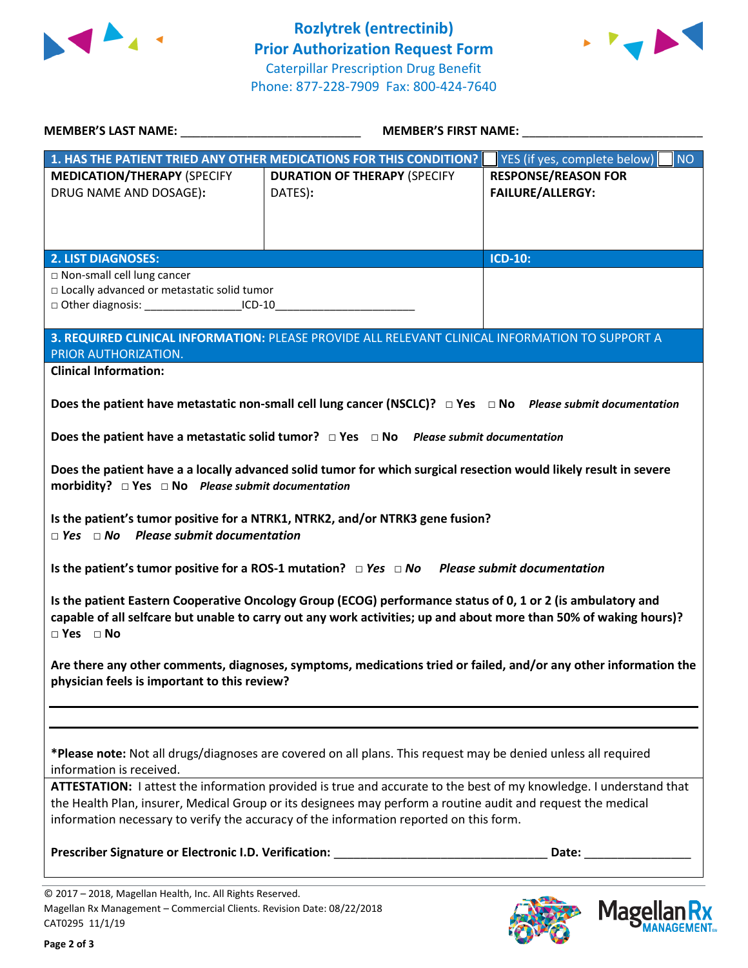



**Mage** 

**ANAGEMENT**<sub>SM</sub>

| MEMBER'S LAST NAME: NAME:                                                                                                                                       | <b>MEMBER'S FIRST NAME:</b>                                                                                                                                                                                                                                                                                                  |                                                                                                                                                                                                                                |  |
|-----------------------------------------------------------------------------------------------------------------------------------------------------------------|------------------------------------------------------------------------------------------------------------------------------------------------------------------------------------------------------------------------------------------------------------------------------------------------------------------------------|--------------------------------------------------------------------------------------------------------------------------------------------------------------------------------------------------------------------------------|--|
|                                                                                                                                                                 | 1. HAS THE PATIENT TRIED ANY OTHER MEDICATIONS FOR THIS CONDITION?                                                                                                                                                                                                                                                           | YES (if yes, complete below)<br><b>NO</b>                                                                                                                                                                                      |  |
| <b>MEDICATION/THERAPY (SPECIFY</b><br>DRUG NAME AND DOSAGE):                                                                                                    | <b>DURATION OF THERAPY (SPECIFY</b><br>DATES):                                                                                                                                                                                                                                                                               | <b>RESPONSE/REASON FOR</b><br><b>FAILURE/ALLERGY:</b>                                                                                                                                                                          |  |
| <b>2. LIST DIAGNOSES:</b>                                                                                                                                       |                                                                                                                                                                                                                                                                                                                              | <b>ICD-10:</b>                                                                                                                                                                                                                 |  |
| □ Non-small cell lung cancer<br>□ Locally advanced or metastatic solid tumor<br>□ Other diagnosis: _________________________ICD-10_____________________________ |                                                                                                                                                                                                                                                                                                                              |                                                                                                                                                                                                                                |  |
| PRIOR AUTHORIZATION.                                                                                                                                            | 3. REQUIRED CLINICAL INFORMATION: PLEASE PROVIDE ALL RELEVANT CLINICAL INFORMATION TO SUPPORT A                                                                                                                                                                                                                              |                                                                                                                                                                                                                                |  |
| <b>Clinical Information:</b>                                                                                                                                    |                                                                                                                                                                                                                                                                                                                              |                                                                                                                                                                                                                                |  |
|                                                                                                                                                                 | Does the patient have metastatic non-small cell lung cancer (NSCLC)? $\Box$ Yes $\Box$ No Please submit documentation                                                                                                                                                                                                        |                                                                                                                                                                                                                                |  |
|                                                                                                                                                                 | Does the patient have a metastatic solid tumor? $\Box$ Yes $\Box$ No Please submit documentation                                                                                                                                                                                                                             |                                                                                                                                                                                                                                |  |
| morbidity? $\Box$ Yes $\Box$ No Please submit documentation                                                                                                     | Does the patient have a a locally advanced solid tumor for which surgical resection would likely result in severe                                                                                                                                                                                                            |                                                                                                                                                                                                                                |  |
| $\Box$ Yes $\Box$ No Please submit documentation                                                                                                                | Is the patient's tumor positive for a NTRK1, NTRK2, and/or NTRK3 gene fusion?                                                                                                                                                                                                                                                |                                                                                                                                                                                                                                |  |
|                                                                                                                                                                 | Is the patient's tumor positive for a ROS-1 mutation? $\Box$ Yes $\Box$ No Please submit documentation                                                                                                                                                                                                                       |                                                                                                                                                                                                                                |  |
| $\Box$ Yes $\Box$ No                                                                                                                                            | Is the patient Eastern Cooperative Oncology Group (ECOG) performance status of 0, 1 or 2 (is ambulatory and<br>capable of all selfcare but unable to carry out any work activities; up and about more than 50% of waking hours)?                                                                                             |                                                                                                                                                                                                                                |  |
| physician feels is important to this review?                                                                                                                    |                                                                                                                                                                                                                                                                                                                              | Are there any other comments, diagnoses, symptoms, medications tried or failed, and/or any other information the                                                                                                               |  |
|                                                                                                                                                                 |                                                                                                                                                                                                                                                                                                                              |                                                                                                                                                                                                                                |  |
| information is received.                                                                                                                                        | *Please note: Not all drugs/diagnoses are covered on all plans. This request may be denied unless all required                                                                                                                                                                                                               |                                                                                                                                                                                                                                |  |
|                                                                                                                                                                 | ATTESTATION: I attest the information provided is true and accurate to the best of my knowledge. I understand that<br>the Health Plan, insurer, Medical Group or its designees may perform a routine audit and request the medical<br>information necessary to verify the accuracy of the information reported on this form. |                                                                                                                                                                                                                                |  |
|                                                                                                                                                                 | Prescriber Signature or Electronic I.D. Verification: ___________________________                                                                                                                                                                                                                                            | Date: the contract of the contract of the contract of the contract of the contract of the contract of the contract of the contract of the contract of the contract of the contract of the contract of the contract of the cont |  |
| © 2017 - 2018, Magellan Health, Inc. All Rights Reserved.                                                                                                       |                                                                                                                                                                                                                                                                                                                              |                                                                                                                                                                                                                                |  |